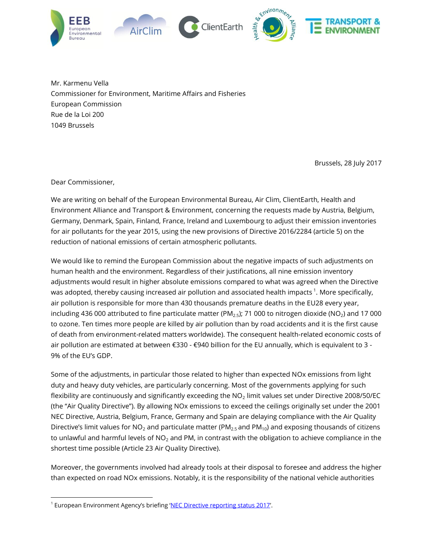

Mr. Karmenu Vella Commissioner for Environment, Maritime Affairs and Fisheries European Commission Rue de la Loi 200 1049 Brussels

Brussels, 28 July 2017

Dear Commissioner,

l

We are writing on behalf of the European Environmental Bureau, Air Clim, ClientEarth, Health and Environment Alliance and Transport & Environment, concerning the requests made by Austria, Belgium, Germany, Denmark, Spain, Finland, France, Ireland and Luxembourg to adjust their emission inventories for air pollutants for the year 2015, using the new provisions of Directive 2016/2284 (article 5) on the reduction of national emissions of certain atmospheric pollutants.

We would like to remind the European Commission about the negative impacts of such adjustments on human health and the environment. Regardless of their justifications, all nine emission inventory adjustments would result in higher absolute emissions compared to what was agreed when the Directive was adopted, thereby causing increased air pollution and associated health impacts  $^1$ . More specifically, air pollution is responsible for more than 430 thousands premature deaths in the EU28 every year, including 436 000 attributed to fine particulate matter ( $PM<sub>2.5</sub>$ ); 71 000 to nitrogen dioxide (NO<sub>2</sub>) and 17 000 to ozone. Ten times more people are killed by air pollution than by road accidents and it is the first cause of death from environment-related matters worldwide). The consequent health-related economic costs of air pollution are estimated at between €330 - €940 billion for the EU annually, which is equivalent to 3 - 9% of the EU's GDP.

Some of the adjustments, in particular those related to higher than expected NOx emissions from light duty and heavy duty vehicles, are particularly concerning. Most of the governments applying for such flexibility are continuously and significantly exceeding the  $NO<sub>2</sub>$  limit values set under Directive 2008/50/EC (the "Air Quality Directive"). By allowing NOx emissions to exceed the ceilings originally set under the 2001 NEC Directive, Austria, Belgium, France, Germany and Spain are delaying compliance with the Air Quality Directive's limit values for NO<sub>2</sub> and particulate matter (PM<sub>2.5</sub> and PM<sub>10</sub>) and exposing thousands of citizens to unlawful and harmful levels of  $NO<sub>2</sub>$  and PM, in contrast with the obligation to achieve compliance in the shortest time possible (Article 23 Air Quality Directive).

Moreover, the governments involved had already tools at their disposal to foresee and address the higher than expected on road NOx emissions. Notably, it is the responsibility of the national vehicle authorities

<sup>&</sup>lt;sup>1</sup> European Environment Agency's briefing '<u>[NEC Directive reporting status 2017](https://www.eea.europa.eu/themes/air/national-emission-ceilings/nec-directive-reporting-status)'</u>.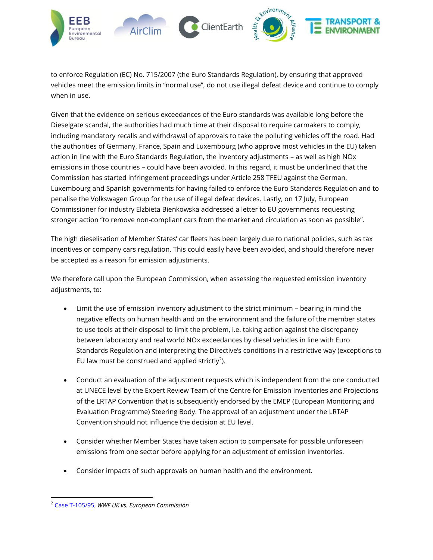

to enforce Regulation (EC) No. 715/2007 (the Euro Standards Regulation), by ensuring that approved vehicles meet the emission limits in "normal use", do not use illegal defeat device and continue to comply when in use.

Given that the evidence on serious exceedances of the Euro standards was available long before the Dieselgate scandal, the authorities had much time at their disposal to require carmakers to comply, including mandatory recalls and withdrawal of approvals to take the polluting vehicles off the road. Had the authorities of Germany, France, Spain and Luxembourg (who approve most vehicles in the EU) taken action in line with the Euro Standards Regulation, the inventory adjustments – as well as high NOx emissions in those countries – could have been avoided. In this regard, it must be underlined that the Commission has started infringement proceedings under Article 258 TFEU against the German, Luxembourg and Spanish governments for having failed to enforce the Euro Standards Regulation and to penalise the Volkswagen Group for the use of illegal defeat devices. Lastly, on 17 July, European Commissioner for industry Elzbieta Bienkowska addressed a letter to EU governments requesting stronger action "to remove non-compliant cars from the market and circulation as soon as possible".

The high dieselisation of Member States' car fleets has been largely due to national policies, such as tax incentives or company cars regulation. This could easily have been avoided, and should therefore never be accepted as a reason for emission adjustments.

We therefore call upon the European Commission, when assessing the requested emission inventory adjustments, to:

- Limit the use of emission inventory adjustment to the strict minimum bearing in mind the negative effects on human health and on the environment and the failure of the member states to use tools at their disposal to limit the problem, i.e. taking action against the discrepancy between laboratory and real world NOx exceedances by diesel vehicles in line with Euro Standards Regulation and interpreting the Directive's conditions in a restrictive way (exceptions to EU law must be construed and applied strictly<sup>2</sup>).
- Conduct an evaluation of the adjustment requests which is independent from the one conducted at UNECE level by the Expert Review Team of the Centre for Emission Inventories and Projections of the LRTAP Convention that is subsequently endorsed by the EMEP (European Monitoring and Evaluation Programme) Steering Body. The approval of an adjustment under the LRTAP Convention should not influence the decision at EU level.
- Consider whether Member States have taken action to compensate for possible unforeseen emissions from one sector before applying for an adjustment of emission inventories.
- Consider impacts of such approvals on human health and the environment.

l

<sup>2</sup> [Case T-105/95,](http://curia.europa.eu/juris/showPdf.jsf?text=&docid=103765&pageIndex=0&doclang=EN&mode=lst&dir=&occ=first&part=1&cid=508140) *WWF UK vs. European Commission*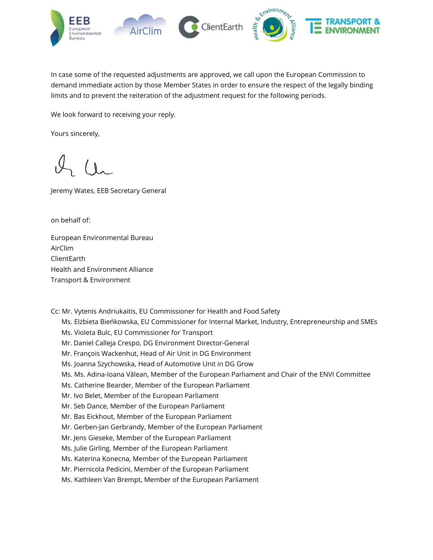

In case some of the requested adjustments are approved, we call upon the European Commission to demand immediate action by those Member States in order to ensure the respect of the legally binding limits and to prevent the reiteration of the adjustment request for the following periods.

We look forward to receiving your reply.

Yours sincerely,

Jeremy Wates, EEB Secretary General

on behalf of:

European Environmental Bureau AirClim ClientEarth Health and Environment Alliance Transport & Environment

Cc: Mr. Vytenis Andriukaitis, EU Commissioner for Health and Food Safety

Ms. Elżbieta Bieńkowska, EU Commissioner for Internal Market, Industry, Entrepreneurship and SMEs

Ms. Violeta Bulc, EU Commissioner for Transport

- Mr. Daniel Calleja Crespo, DG Environment Director-General
- Mr. François Wackenhut, Head of Air Unit in DG Environment
- Ms. Joanna Szychowska, Head of Automotive Unit in DG Grow
- Ms. Ms. Adina-Ioana Vălean, Member of the European Parliament and Chair of the ENVI Committee
- Ms. Catherine Bearder, Member of the European Parliament
- Mr. Ivo Belet, Member of the European Parliament
- Mr. Seb Dance, Member of the European Parliament
- Mr. Bas Eickhout, Member of the European Parliament
- Mr. Gerben-Jan Gerbrandy, Member of the European Parliament
- Mr. Jens Gieseke, Member of the European Parliament
- Ms. Julie Girling, Member of the European Parliament
- Ms. Katerina Konecna, Member of the European Parliament
- Mr. Piernicola Pedicini, Member of the European Parliament
- Ms. Kathleen Van Brempt, Member of the European Parliament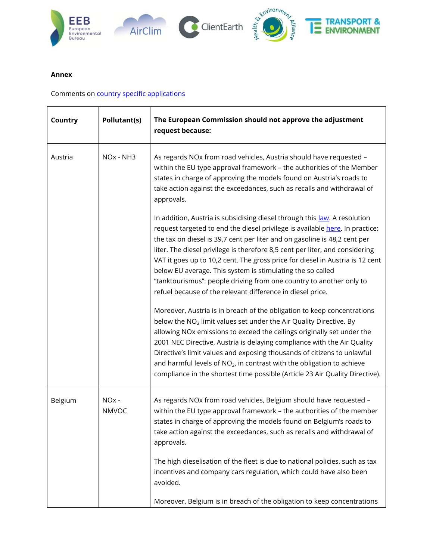

## **Annex**

Comments on [country specific applications](http://ec.europa.eu/environment/air/pollutants/pdf/emission_inventory_adjustment_applications_2010_ceilings_of_directive_2001.pdf)

| Country | Pollutant(s)                      | The European Commission should not approve the adjustment<br>request because:                                                                                                                                                                                                                                                                                                                                                                                                                                                                                                                              |
|---------|-----------------------------------|------------------------------------------------------------------------------------------------------------------------------------------------------------------------------------------------------------------------------------------------------------------------------------------------------------------------------------------------------------------------------------------------------------------------------------------------------------------------------------------------------------------------------------------------------------------------------------------------------------|
| Austria | NO <sub>x</sub> - NH <sub>3</sub> | As regards NOx from road vehicles, Austria should have requested -<br>within the EU type approval framework - the authorities of the Member<br>states in charge of approving the models found on Austria's roads to<br>take action against the exceedances, such as recalls and withdrawal of<br>approvals.                                                                                                                                                                                                                                                                                                |
|         |                                   | In addition, Austria is subsidising diesel through this law. A resolution<br>request targeted to end the diesel privilege is available here. In practice:<br>the tax on diesel is 39,7 cent per liter and on gasoline is 48,2 cent per<br>liter. The diesel privilege is therefore 8,5 cent per liter, and considering<br>VAT it goes up to 10,2 cent. The gross price for diesel in Austria is 12 cent<br>below EU average. This system is stimulating the so called<br>"tanktourismus": people driving from one country to another only to<br>refuel because of the relevant difference in diesel price. |
|         |                                   | Moreover, Austria is in breach of the obligation to keep concentrations<br>below the NO <sub>2</sub> limit values set under the Air Quality Directive. By<br>allowing NOx emissions to exceed the ceilings originally set under the<br>2001 NEC Directive, Austria is delaying compliance with the Air Quality<br>Directive's limit values and exposing thousands of citizens to unlawful<br>and harmful levels of $NO2$ , in contrast with the obligation to achieve<br>compliance in the shortest time possible (Article 23 Air Quality Directive).                                                      |
| Belgium | NO <sub>x</sub> -<br><b>NMVOC</b> | As regards NOx from road vehicles, Belgium should have requested -<br>within the EU type approval framework - the authorities of the member<br>states in charge of approving the models found on Belgium's roads to<br>take action against the exceedances, such as recalls and withdrawal of<br>approvals.                                                                                                                                                                                                                                                                                                |
|         |                                   | The high dieselisation of the fleet is due to national policies, such as tax<br>incentives and company cars regulation, which could have also been<br>avoided.                                                                                                                                                                                                                                                                                                                                                                                                                                             |
|         |                                   | Moreover, Belgium is in breach of the obligation to keep concentrations                                                                                                                                                                                                                                                                                                                                                                                                                                                                                                                                    |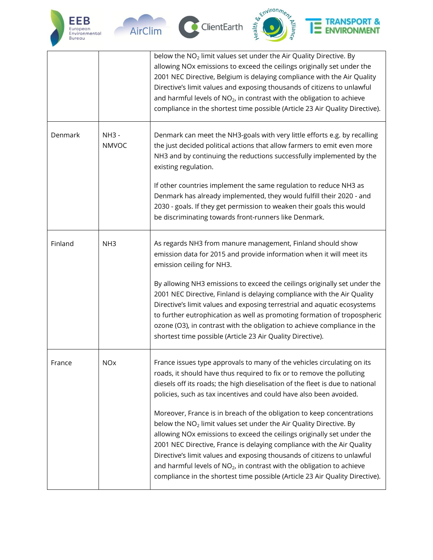







## **TRANSPORT &**<br>ENVIRONMENT E

|         |                         | below the $NO2$ limit values set under the Air Quality Directive. By<br>allowing NOx emissions to exceed the ceilings originally set under the<br>2001 NEC Directive, Belgium is delaying compliance with the Air Quality<br>Directive's limit values and exposing thousands of citizens to unlawful<br>and harmful levels of $NO2$ , in contrast with the obligation to achieve<br>compliance in the shortest time possible (Article 23 Air Quality Directive).                                                                                    |
|---------|-------------------------|-----------------------------------------------------------------------------------------------------------------------------------------------------------------------------------------------------------------------------------------------------------------------------------------------------------------------------------------------------------------------------------------------------------------------------------------------------------------------------------------------------------------------------------------------------|
| Denmark | $NH3 -$<br><b>NMVOC</b> | Denmark can meet the NH3-goals with very little efforts e.g. by recalling<br>the just decided political actions that allow farmers to emit even more<br>NH3 and by continuing the reductions successfully implemented by the<br>existing regulation.                                                                                                                                                                                                                                                                                                |
|         |                         | If other countries implement the same regulation to reduce NH3 as<br>Denmark has already implemented, they would fulfill their 2020 - and<br>2030 - goals. If they get permission to weaken their goals this would<br>be discriminating towards front-runners like Denmark.                                                                                                                                                                                                                                                                         |
| Finland | NH <sub>3</sub>         | As regards NH3 from manure management, Finland should show<br>emission data for 2015 and provide information when it will meet its<br>emission ceiling for NH3.                                                                                                                                                                                                                                                                                                                                                                                     |
|         |                         | By allowing NH3 emissions to exceed the ceilings originally set under the<br>2001 NEC Directive, Finland is delaying compliance with the Air Quality<br>Directive's limit values and exposing terrestrial and aquatic ecosystems<br>to further eutrophication as well as promoting formation of tropospheric<br>ozone (O3), in contrast with the obligation to achieve compliance in the<br>shortest time possible (Article 23 Air Quality Directive).                                                                                              |
| France  | <b>NO<sub>X</sub></b>   | France issues type approvals to many of the vehicles circulating on its<br>roads, it should have thus required to fix or to remove the polluting<br>diesels off its roads; the high dieselisation of the fleet is due to national<br>policies, such as tax incentives and could have also been avoided.                                                                                                                                                                                                                                             |
|         |                         | Moreover, France is in breach of the obligation to keep concentrations<br>below the NO <sub>2</sub> limit values set under the Air Quality Directive. By<br>allowing NOx emissions to exceed the ceilings originally set under the<br>2001 NEC Directive, France is delaying compliance with the Air Quality<br>Directive's limit values and exposing thousands of citizens to unlawful<br>and harmful levels of $NO2$ , in contrast with the obligation to achieve<br>compliance in the shortest time possible (Article 23 Air Quality Directive). |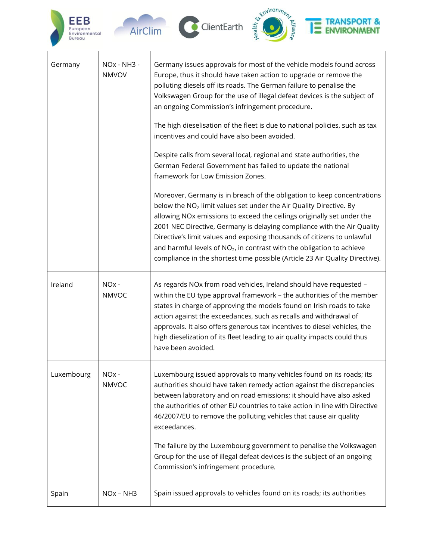

 $\Gamma$ 





## **TRANSPORT &**<br>ENVIRONMENT Ξ

| Germany    | NOx - NH3 -<br><b>NMVOV</b>       | Germany issues approvals for most of the vehicle models found across<br>Europe, thus it should have taken action to upgrade or remove the<br>polluting diesels off its roads. The German failure to penalise the<br>Volkswagen Group for the use of illegal defeat devices is the subject of<br>an ongoing Commission's infringement procedure.<br>The high dieselisation of the fleet is due to national policies, such as tax<br>incentives and could have also been avoided.<br>Despite calls from several local, regional and state authorities, the<br>German Federal Government has failed to update the national<br>framework for Low Emission Zones.<br>Moreover, Germany is in breach of the obligation to keep concentrations<br>below the NO <sub>2</sub> limit values set under the Air Quality Directive. By<br>allowing NOx emissions to exceed the ceilings originally set under the<br>2001 NEC Directive, Germany is delaying compliance with the Air Quality<br>Directive's limit values and exposing thousands of citizens to unlawful<br>and harmful levels of $NO2$ , in contrast with the obligation to achieve<br>compliance in the shortest time possible (Article 23 Air Quality Directive). |
|------------|-----------------------------------|-----------------------------------------------------------------------------------------------------------------------------------------------------------------------------------------------------------------------------------------------------------------------------------------------------------------------------------------------------------------------------------------------------------------------------------------------------------------------------------------------------------------------------------------------------------------------------------------------------------------------------------------------------------------------------------------------------------------------------------------------------------------------------------------------------------------------------------------------------------------------------------------------------------------------------------------------------------------------------------------------------------------------------------------------------------------------------------------------------------------------------------------------------------------------------------------------------------------------|
| Ireland    | NO <sub>x</sub> -<br><b>NMVOC</b> | As regards NOx from road vehicles, Ireland should have requested -<br>within the EU type approval framework - the authorities of the member<br>states in charge of approving the models found on Irish roads to take<br>action against the exceedances, such as recalls and withdrawal of<br>approvals. It also offers generous tax incentives to diesel vehicles, the<br>high dieselization of its fleet leading to air quality impacts could thus<br>have been avoided.                                                                                                                                                                                                                                                                                                                                                                                                                                                                                                                                                                                                                                                                                                                                             |
| Luxembourg | NO <sub>x</sub> -<br><b>NMVOC</b> | Luxembourg issued approvals to many vehicles found on its roads; its<br>authorities should have taken remedy action against the discrepancies<br>between laboratory and on road emissions; it should have also asked<br>the authorities of other EU countries to take action in line with Directive<br>46/2007/EU to remove the polluting vehicles that cause air quality<br>exceedances.<br>The failure by the Luxembourg government to penalise the Volkswagen<br>Group for the use of illegal defeat devices is the subject of an ongoing<br>Commission's infringement procedure.                                                                                                                                                                                                                                                                                                                                                                                                                                                                                                                                                                                                                                  |
| Spain      | NO <sub>x</sub> - NH <sub>3</sub> | Spain issued approvals to vehicles found on its roads; its authorities                                                                                                                                                                                                                                                                                                                                                                                                                                                                                                                                                                                                                                                                                                                                                                                                                                                                                                                                                                                                                                                                                                                                                |